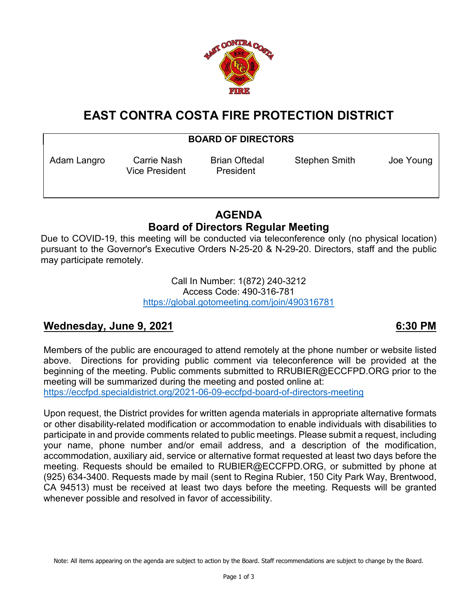

# **EAST CONTRA COSTA FIRE PROTECTION DISTRICT**

## **BOARD OF DIRECTORS**

Vice President President

Adam Langro Carrie Nash Brian Oftedal Stephen Smith Joe Young

## **AGENDA Board of Directors Regular Meeting**

Due to COVID-19, this meeting will be conducted via teleconference only (no physical location) pursuant to the Governor's Executive Orders N-25-20 & N-29-20. Directors, staff and the public may participate remotely.

> Call In Number: 1(872) 240-3212 Access Code: 490-316-781 <https://global.gotomeeting.com/join/490316781>

## **Wednesday, June 9, 2021 6:30 PM**

Members of the public are encouraged to attend remotely at the phone number or website listed above. Directions for providing public comment via teleconference will be provided at the beginning of the meeting. Public comments submitted to RRUBIER@ECCFPD.ORG prior to the meeting will be summarized during the meeting and posted online at: <https://eccfpd.specialdistrict.org/2021-06-09-eccfpd-board-of-directors-meeting>

Upon request, the District provides for written agenda materials in appropriate alternative formats or other disability-related modification or accommodation to enable individuals with disabilities to participate in and provide comments related to public meetings. Please submit a request, including your name, phone number and/or email address, and a description of the modification, accommodation, auxiliary aid, service or alternative format requested at least two days before the meeting. Requests should be emailed to RUBIER@ECCFPD.ORG, or submitted by phone at (925) 634-3400. Requests made by mail (sent to Regina Rubier, 150 City Park Way, Brentwood, CA 94513) must be received at least two days before the meeting. Requests will be granted whenever possible and resolved in favor of accessibility.

Note: All items appearing on the agenda are subject to action by the Board. Staff recommendations are subject to change by the Board.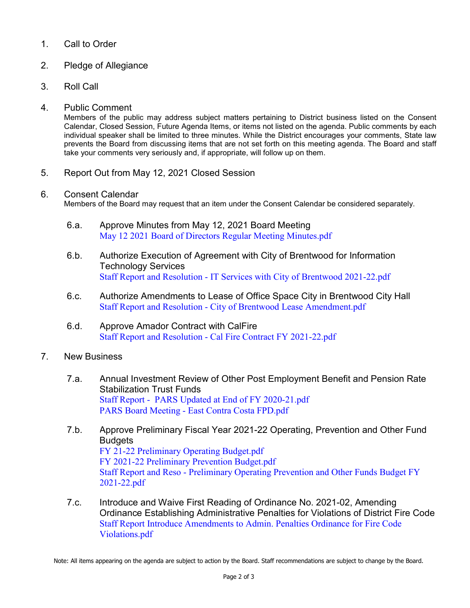## 1. Call to Order

- 2. Pledge of Allegiance
- 3. Roll Call

#### 4. Public Comment

Members of the public may address subject matters pertaining to District business listed on the Consent Calendar, Closed Session, Future Agenda Items, or items not listed on the agenda. Public comments by each individual speaker shall be limited to three minutes. While the District encourages your comments, State law prevents the Board from discussing items that are not set forth on this meeting agenda. The Board and staff take your comments very seriously and, if appropriate, will follow up on them.

5. Report Out from May 12, 2021 Closed Session

#### 6. Consent Calendar

Members of the Board may request that an item under the Consent Calendar be considered separately.

- 6.a. Approve Minutes from May 12, 2021 Board Meeting [May 12 2021 Board of Directors Regular Meeting Minutes.pdf](https://legistarweb-production.s3.amazonaws.com/uploads/attachment/pdf/957192/May_12_2021_Board_of_Directors_Regular_Meeting_Minutes.pdf)
- 6.b. Authorize Execution of Agreement with City of Brentwood for Information Technology Services Staff Report and Resolution - [IT Services with City of Brentwood 2021-22.pdf](https://legistarweb-production.s3.amazonaws.com/uploads/attachment/pdf/949794/Staff_Report_and_Resolution_-_IT_Services_with_City_of_Brentwood_2021-22.pdf)
- 6.c. Authorize Amendments to Lease of Office Space City in Brentwood City Hall Staff Report and Resolution - [City of Brentwood Lease Amendment.pdf](https://legistarweb-production.s3.amazonaws.com/uploads/attachment/pdf/949795/Staff_Report_and_Resolution_-_City_of_Brentwood_Lease_Amendment.pdf)
- 6.d. Approve Amador Contract with CalFire Staff Report and Resolution - [Cal Fire Contract FY 2021-22.pdf](https://legistarweb-production.s3.amazonaws.com/uploads/attachment/pdf/949791/Staff_Report_and_Resolution_-_Cal_Fire_Contract_FY_2021-22.pdf)

#### 7. New Business

- 7.a. Annual Investment Review of Other Post Employment Benefit and Pension Rate Stabilization Trust Funds [Staff Report - PARS Updated at End of FY 2020-21.pdf](https://legistarweb-production.s3.amazonaws.com/uploads/attachment/pdf/951992/Staff_Report_-__PARS_Updated_at_End_of_FY_2020-21.pdf) PARS Board Meeting - [East Contra Costa FPD.pdf](https://legistarweb-production.s3.amazonaws.com/uploads/attachment/pdf/949809/PARS_Board_Meeting_-_East_Contra_Costa_FPD.pdf)
- 7.b. Approve Preliminary Fiscal Year 2021-22 Operating, Prevention and Other Fund **Budgets** [FY 21-22 Preliminary Operating Budget.pdf](https://legistarweb-production.s3.amazonaws.com/uploads/attachment/pdf/952107/FY_21-22_Preliminary_Operating_Budget.pdf) [FY 2021-22 Preliminary Prevention Budget.pdf](https://legistarweb-production.s3.amazonaws.com/uploads/attachment/pdf/949815/FY_2021-22_Preliminary_Prevention_Budget.pdf) Staff Report and Reso - [Preliminary Operating Prevention and Other Funds Budget FY](https://legistarweb-production.s3.amazonaws.com/uploads/attachment/pdf/953784/Staff_Report_and_Reso_-_Preliminary_Operating_Prevention_and_Other_Funds_Budget_FY_2021-22.pdf)  [2021-22.pdf](https://legistarweb-production.s3.amazonaws.com/uploads/attachment/pdf/953784/Staff_Report_and_Reso_-_Preliminary_Operating_Prevention_and_Other_Funds_Budget_FY_2021-22.pdf)
- 7.c. Introduce and Waive First Reading of Ordinance No. 2021-02, Amending Ordinance Establishing Administrative Penalties for Violations of District Fire Code [Staff Report Introduce Amendments to Admin. Penalties Ordinance for Fire Code](https://legistarweb-production.s3.amazonaws.com/uploads/attachment/pdf/949808/Staff_Report_Introduce_Amendments_to_Admin._Penalties_Ordinance_for_Fire_Code_Violations.pdf)  [Violations.pdf](https://legistarweb-production.s3.amazonaws.com/uploads/attachment/pdf/949808/Staff_Report_Introduce_Amendments_to_Admin._Penalties_Ordinance_for_Fire_Code_Violations.pdf)

Note: All items appearing on the agenda are subject to action by the Board. Staff recommendations are subject to change by the Board.